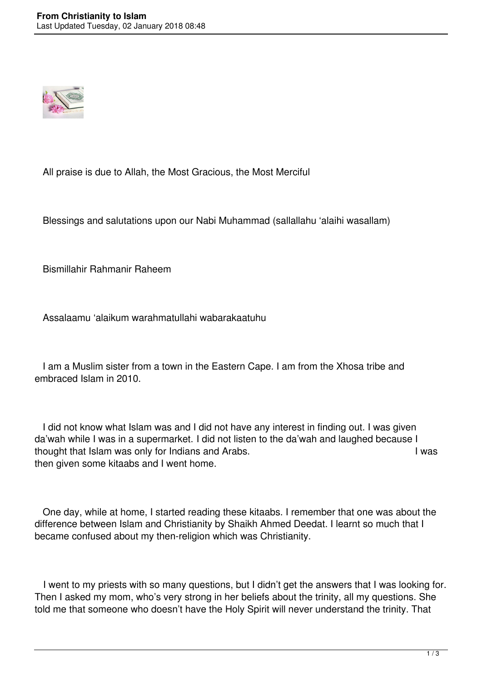

All praise is due to Allah, the Most Gracious, the Most Merciful

Blessings and salutations upon our Nabi Muhammad (sallallahu 'alaihi wasallam)

Bismillahir Rahmanir Raheem

Assalaamu 'alaikum warahmatullahi wabarakaatuhu

 I am a Muslim sister from a town in the Eastern Cape. I am from the Xhosa tribe and embraced Islam in 2010.

 I did not know what Islam was and I did not have any interest in finding out. I was given da'wah while I was in a supermarket. I did not listen to the da'wah and laughed because I thought that Islam was only for Indians and Arabs. I was research that I was then given some kitaabs and I went home.

 One day, while at home, I started reading these kitaabs. I remember that one was about the difference between Islam and Christianity by Shaikh Ahmed Deedat. I learnt so much that I became confused about my then-religion which was Christianity.

 I went to my priests with so many questions, but I didn't get the answers that I was looking for. Then I asked my mom, who's very strong in her beliefs about the trinity, all my questions. She told me that someone who doesn't have the Holy Spirit will never understand the trinity. That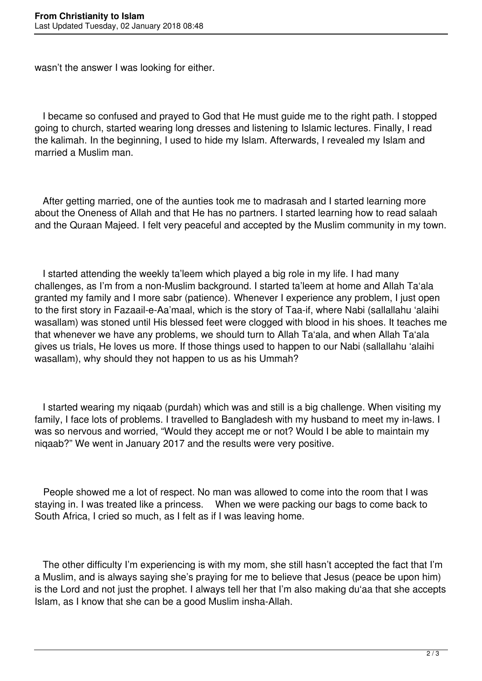wasn't the answer I was looking for either.

 I became so confused and prayed to God that He must guide me to the right path. I stopped going to church, started wearing long dresses and listening to Islamic lectures. Finally, I read the kalimah. In the beginning, I used to hide my Islam. Afterwards, I revealed my Islam and married a Muslim man.

 After getting married, one of the aunties took me to madrasah and I started learning more about the Oneness of Allah and that He has no partners. I started learning how to read salaah and the Quraan Majeed. I felt very peaceful and accepted by the Muslim community in my town.

 I started attending the weekly ta'leem which played a big role in my life. I had many challenges, as I'm from a non-Muslim background. I started ta'leem at home and Allah Ta'ala granted my family and I more sabr (patience). Whenever I experience any problem, I just open to the first story in Fazaail-e-Aa'maal, which is the story of Taa-if, where Nabi (sallallahu 'alaihi wasallam) was stoned until His blessed feet were clogged with blood in his shoes. It teaches me that whenever we have any problems, we should turn to Allah Ta'ala, and when Allah Ta'ala gives us trials, He loves us more. If those things used to happen to our Nabi (sallallahu 'alaihi wasallam), why should they not happen to us as his Ummah?

 I started wearing my niqaab (purdah) which was and still is a big challenge. When visiting my family, I face lots of problems. I travelled to Bangladesh with my husband to meet my in-laws. I was so nervous and worried, "Would they accept me or not? Would I be able to maintain my niqaab?" We went in January 2017 and the results were very positive.

 People showed me a lot of respect. No man was allowed to come into the room that I was staying in. I was treated like a princess. When we were packing our bags to come back to South Africa, I cried so much, as I felt as if I was leaving home.

 The other difficulty I'm experiencing is with my mom, she still hasn't accepted the fact that I'm a Muslim, and is always saying she's praying for me to believe that Jesus (peace be upon him) is the Lord and not just the prophet. I always tell her that I'm also making du'aa that she accepts Islam, as I know that she can be a good Muslim insha-Allah.